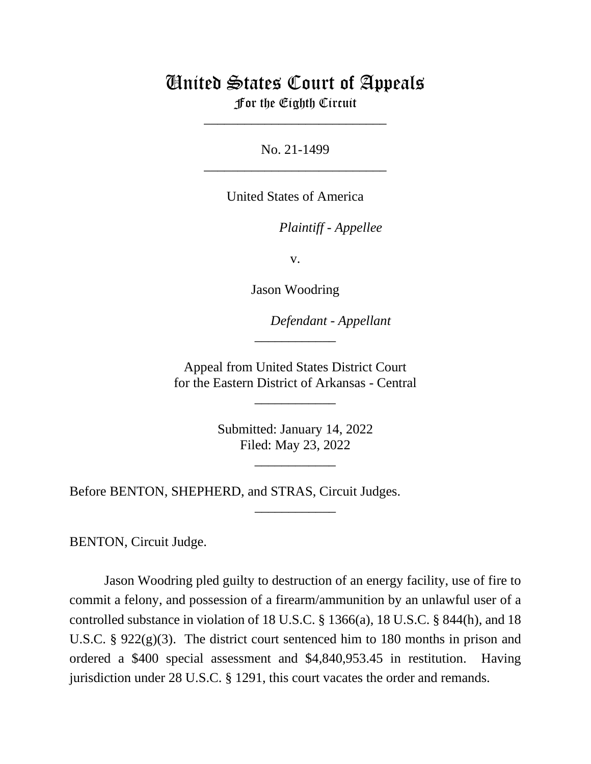## United States Court of Appeals

For the Eighth Circuit \_\_\_\_\_\_\_\_\_\_\_\_\_\_\_\_\_\_\_\_\_\_\_\_\_\_\_

No. 21-1499 \_\_\_\_\_\_\_\_\_\_\_\_\_\_\_\_\_\_\_\_\_\_\_\_\_\_\_

United States of America

*Plaintiff - Appellee*

v.

Jason Woodring

*Defendant - Appellant*

Appeal from United States District Court for the Eastern District of Arkansas - Central

\_\_\_\_\_\_\_\_\_\_\_\_

\_\_\_\_\_\_\_\_\_\_\_\_

Submitted: January 14, 2022 Filed: May 23, 2022

\_\_\_\_\_\_\_\_\_\_\_\_

\_\_\_\_\_\_\_\_\_\_\_\_

Before BENTON, SHEPHERD, and STRAS, Circuit Judges.

BENTON, Circuit Judge.

Jason Woodring pled guilty to destruction of an energy facility, use of fire to commit a felony, and possession of a firearm/ammunition by an unlawful user of a controlled substance in violation of 18 U.S.C. § 1366(a), 18 U.S.C. § 844(h), and 18 U.S.C. § 922(g)(3). The district court sentenced him to 180 months in prison and ordered a \$400 special assessment and \$4,840,953.45 in restitution. Having jurisdiction under 28 U.S.C. § 1291, this court vacates the order and remands.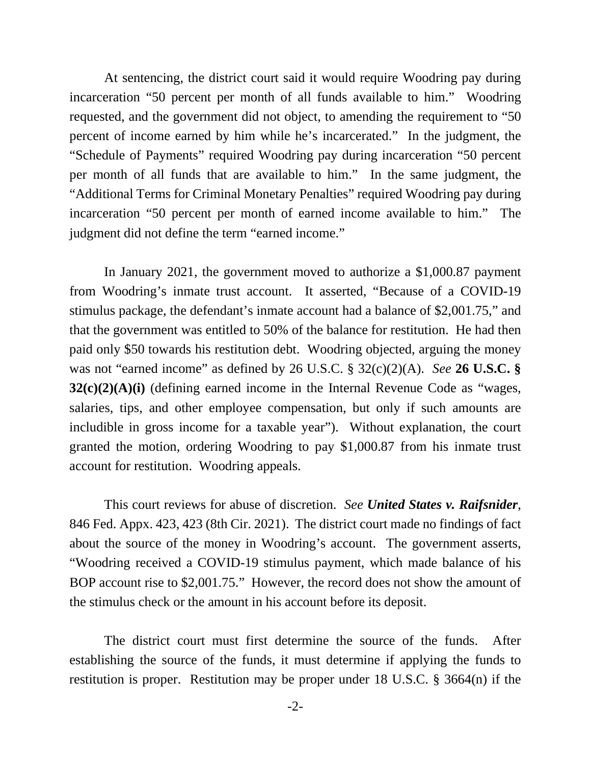At sentencing, the district court said it would require Woodring pay during incarceration "50 percent per month of all funds available to him." Woodring requested, and the government did not object, to amending the requirement to "50 percent of income earned by him while he's incarcerated." In the judgment, the "Schedule of Payments" required Woodring pay during incarceration "50 percent per month of all funds that are available to him." In the same judgment, the "Additional Terms for Criminal Monetary Penalties" required Woodring pay during incarceration "50 percent per month of earned income available to him." The judgment did not define the term "earned income."

In January 2021, the government moved to authorize a \$1,000.87 payment from Woodring's inmate trust account. It asserted, "Because of a COVID-19 stimulus package, the defendant's inmate account had a balance of \$2,001.75," and that the government was entitled to 50% of the balance for restitution. He had then paid only \$50 towards his restitution debt. Woodring objected, arguing the money was not "earned income" as defined by 26 U.S.C. § 32(c)(2)(A). *See* **26 U.S.C. § 32(c)(2)(A)(i)** (defining earned income in the Internal Revenue Code as "wages, salaries, tips, and other employee compensation, but only if such amounts are includible in gross income for a taxable year"). Without explanation, the court granted the motion, ordering Woodring to pay \$1,000.87 from his inmate trust account for restitution. Woodring appeals.

This court reviews for abuse of discretion. *See United States v. Raifsnider*, 846 Fed. Appx. 423, 423 (8th Cir. 2021). The district court made no findings of fact about the source of the money in Woodring's account. The government asserts, "Woodring received a COVID-19 stimulus payment, which made balance of his BOP account rise to \$2,001.75." However, the record does not show the amount of the stimulus check or the amount in his account before its deposit.

The district court must first determine the source of the funds. After establishing the source of the funds, it must determine if applying the funds to restitution is proper. Restitution may be proper under 18 U.S.C. § 3664(n) if the